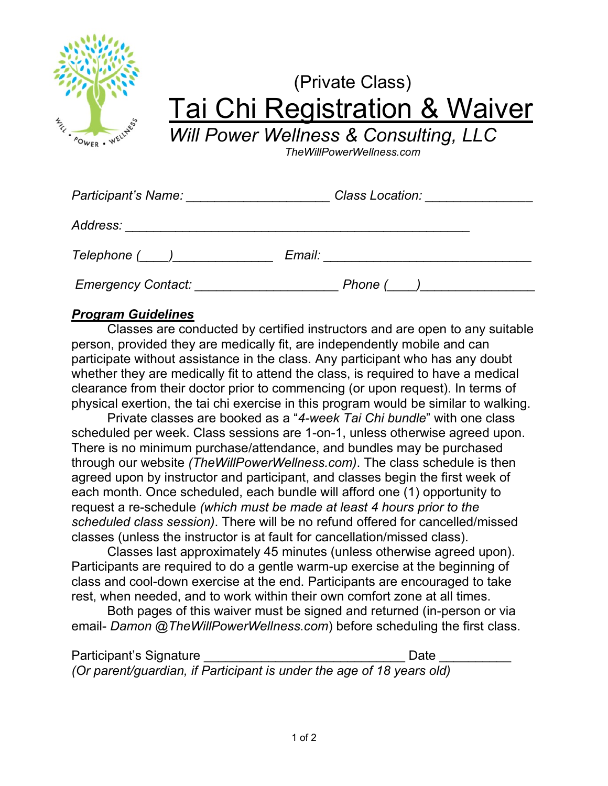

## (Private Class) Tai Chi Registration & Waiver

*Will Power Wellness & Consulting, LLC*

*TheWillPowerWellness.com*

| Participant's Name:       | Class Location: |
|---------------------------|-----------------|
| Address:                  |                 |
|                           | Email:          |
| <b>Emergency Contact:</b> | Phone (         |

## *Program Guidelines*

Classes are conducted by certified instructors and are open to any suitable person, provided they are medically fit, are independently mobile and can participate without assistance in the class. Any participant who has any doubt whether they are medically fit to attend the class, is required to have a medical clearance from their doctor prior to commencing (or upon request). In terms of physical exertion, the tai chi exercise in this program would be similar to walking.

Private classes are booked as a "*4-week Tai Chi bundle*" with one class scheduled per week. Class sessions are 1-on-1, unless otherwise agreed upon. There is no minimum purchase/attendance, and bundles may be purchased through our website *(TheWillPowerWellness.com)*. The class schedule is then agreed upon by instructor and participant, and classes begin the first week of each month. Once scheduled, each bundle will afford one (1) opportunity to request a re-schedule *(which must be made at least 4 hours prior to the scheduled class session)*. There will be no refund offered for cancelled/missed classes (unless the instructor is at fault for cancellation/missed class).

Classes last approximately 45 minutes (unless otherwise agreed upon). Participants are required to do a gentle warm-up exercise at the beginning of class and cool-down exercise at the end. Participants are encouraged to take rest, when needed, and to work within their own comfort zone at all times.

Both pages of this waiver must be signed and returned (in-person or via email- *Damon @TheWillPowerWellness.com*) before scheduling the first class.

| Participant's Signature | Date                                                                  |
|-------------------------|-----------------------------------------------------------------------|
|                         | (Or parent/guardian, if Participant is under the age of 18 years old) |